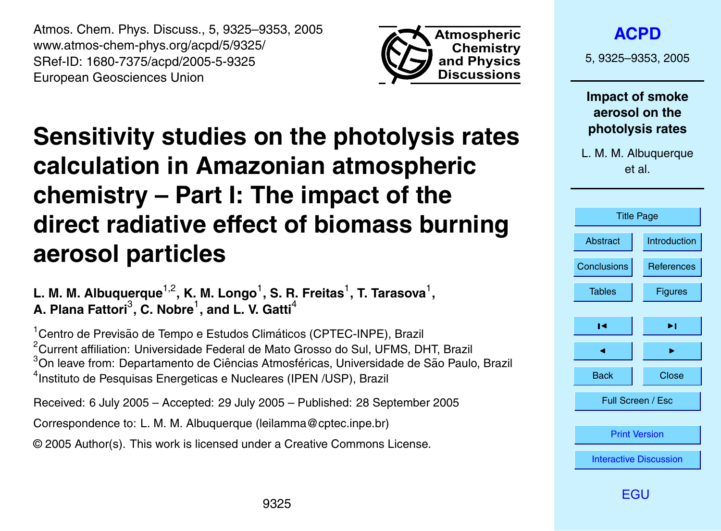<span id="page-0-0"></span>Atmos. Chem. Phys. Discuss., 5, 9325–9353, 2005 www.atmos-chem-phys.org/acpd/5/9325/ SRef-ID: 1680-7375/acpd/2005-5-9325 European Geosciences Union



**Sensitivity studies on the photolysis rates calculation in Amazonian atmospheric chemistry – Part I: The impact of the direct radiative effect of biomass burning aerosol particles**

L. M. M. Albuquerque<sup>1,2</sup>, K. M. Longo<sup>1</sup>, S. R. Freitas<sup>1</sup>, T. Tarasova<sup>1</sup>, **A. Plana Fattori**<sup>3</sup> **, C. Nobre**<sup>1</sup> **, and L. V. Gatti**<sup>4</sup>

<sup>1</sup> Centro de Previsão de Tempo e Estudos Climáticos (CPTEC-INPE), Brazil <sup>2</sup>Current affiliation: Universidade Federal de Mato Grosso do Sul, UFMS, DHT, Brazil  $3$ On leave from: Departamento de Ciências Atmosféricas, Universidade de São Paulo, Brazil <sup>4</sup>Instituto de Pesquisas Energeticas e Nucleares (IPEN /USP), Brazil

Received: 6 July 2005 – Accepted: 29 July 2005 – Published: 28 September 2005

Correspondence to: L. M. M. Albuquerque (leilamma@cptec.inpe.br)

© 2005 Author(s). This work is licensed under a Creative Commons License.

**Impact of smoke aerosol on the photolysis rates** L. M. M. Albuquerque et al.

**[ACPD](http://www.atmos-chem-phys.org/acpd.htm)**

5, 9325–9353, 2005

| <b>Title Page</b>             |                     |  |
|-------------------------------|---------------------|--|
| Abstract                      | <b>Introduction</b> |  |
| Conclusions                   | References          |  |
| <b>Tables</b>                 | <b>Figures</b>      |  |
|                               |                     |  |
| ы                             | ы                   |  |
|                               |                     |  |
| <b>Back</b>                   | Close               |  |
| Full Screen / Esc             |                     |  |
|                               |                     |  |
| <b>Print Version</b>          |                     |  |
| <b>Interactive Discussion</b> |                     |  |
|                               |                     |  |

[EGU](http://www.copernicus.org/EGU/EGU.html)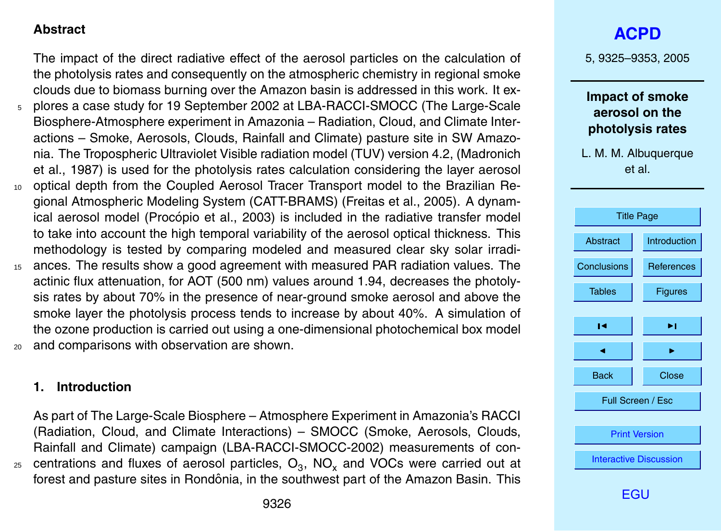#### <span id="page-1-0"></span>**Abstract**

The impact of the direct radiative effect of the aerosol particles on the calculation of the photolysis rates and consequently on the atmospheric chemistry in regional smoke clouds due to biomass burning over the Amazon basin is addressed in this work. It ex-<sup>5</sup> plores a case study for 19 September 2002 at LBA-RACCI-SMOCC (The Large-Scale Biosphere-Atmosphere experiment in Amazonia – Radiation, Cloud, and Climate Interactions – Smoke, Aerosols, Clouds, Rainfall and Climate) pasture site in SW Amazonia. The Tropospheric Ultraviolet Visible radiation model (TUV) version 4.2, (Madronich et al., 1987) is used for the photolysis rates calculation considering the layer aerosol <sup>10</sup> optical depth from the Coupled Aerosol Tracer Transport model to the Brazilian Regional Atmospheric Modeling System (CATT-BRAMS) (Freitas et al., 2005). A dynamical aerosol model (Procópio et al., 2003) is included in the radiative transfer model to take into account the high temporal variability of the aerosol optical thickness. This methodology is tested by comparing modeled and measured clear sky solar irradi-

<sup>15</sup> ances. The results show a good agreement with measured PAR radiation values. The actinic flux attenuation, for AOT (500 nm) values around 1.94, decreases the photolysis rates by about 70% in the presence of near-ground smoke aerosol and above the smoke layer the photolysis process tends to increase by about 40%. A simulation of the ozone production is carried out using a one-dimensional photochemical box model <sup>20</sup> and comparisons with observation are shown.

#### **1. Introduction**

As part of The Large-Scale Biosphere – Atmosphere Experiment in Amazonia's RACCI (Radiation, Cloud, and Climate Interactions) – SMOCC (Smoke, Aerosols, Clouds, Rainfall and Climate) campaign (LBA-RACCI-SMOCC-2002) measurements of con- $_{25}$  centrations and fluxes of aerosol particles,  ${\rm O}_{3}$ , NO<sub>x</sub> and VOCs were carried out at forest and pasture sites in Rondônia, in the southwest part of the Amazon Basin. This 5, 9325–9353, 2005

### **Impact of smoke aerosol on the photolysis rates**

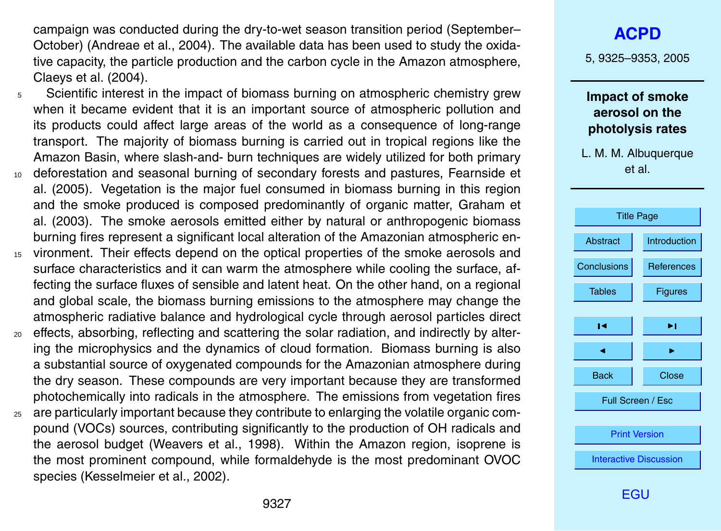campaign was conducted during the dry-to-wet season transition period (September– October) (Andreae et al., 2004). The available data has been used to study the oxidative capacity, the particle production and the carbon cycle in the Amazon atmosphere, Claeys et al. (2004).

- <sup>5</sup> Scientific interest in the impact of biomass burning on atmospheric chemistry grew when it became evident that it is an important source of atmospheric pollution and its products could affect large areas of the world as a consequence of long-range transport. The majority of biomass burning is carried out in tropical regions like the Amazon Basin, where slash-and- burn techniques are widely utilized for both primary <sup>10</sup> deforestation and seasonal burning of secondary forests and pastures, Fearnside et al. (2005). Vegetation is the major fuel consumed in biomass burning in this region and the smoke produced is composed predominantly of organic matter, Graham et
	- al. (2003). The smoke aerosols emitted either by natural or anthropogenic biomass burning fires represent a significant local alteration of the Amazonian atmospheric en-
- <sup>15</sup> vironment. Their effects depend on the optical properties of the smoke aerosols and surface characteristics and it can warm the atmosphere while cooling the surface, affecting the surface fluxes of sensible and latent heat. On the other hand, on a regional and global scale, the biomass burning emissions to the atmosphere may change the atmospheric radiative balance and hydrological cycle through aerosol particles direct
- <sup>20</sup> effects, absorbing, reflecting and scattering the solar radiation, and indirectly by altering the microphysics and the dynamics of cloud formation. Biomass burning is also a substantial source of oxygenated compounds for the Amazonian atmosphere during the dry season. These compounds are very important because they are transformed photochemically into radicals in the atmosphere. The emissions from vegetation fires
- <sup>25</sup> are particularly important because they contribute to enlarging the volatile organic compound (VOCs) sources, contributing significantly to the production of OH radicals and the aerosol budget (Weavers et al., 1998). Within the Amazon region, isoprene is the most prominent compound, while formaldehyde is the most predominant OVOC species (Kesselmeier et al., 2002).

5, 9325–9353, 2005

### **Impact of smoke aerosol on the photolysis rates**

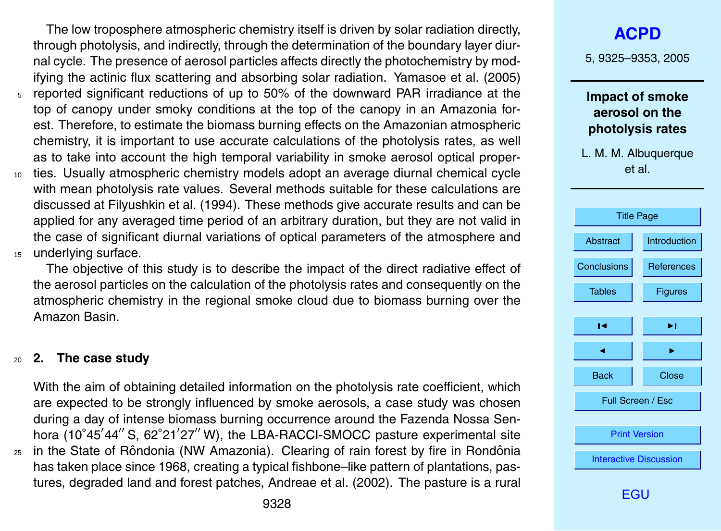The low troposphere atmospheric chemistry itself is driven by solar radiation directly, through photolysis, and indirectly, through the determination of the boundary layer diurnal cycle. The presence of aerosol particles affects directly the photochemistry by modifying the actinic flux scattering and absorbing solar radiation. Yamasoe et al. (2005) <sup>5</sup> reported significant reductions of up to 50% of the downward PAR irradiance at the top of canopy under smoky conditions at the top of the canopy in an Amazonia forest. Therefore, to estimate the biomass burning effects on the Amazonian atmospheric chemistry, it is important to use accurate calculations of the photolysis rates, as well as to take into account the high temporal variability in smoke aerosol optical proper-<sup>10</sup> ties. Usually atmospheric chemistry models adopt an average diurnal chemical cycle with mean photolysis rate values. Several methods suitable for these calculations are discussed at Filyushkin et al. (1994). These methods give accurate results and can be

applied for any averaged time period of an arbitrary duration, but they are not valid in the case of significant diurnal variations of optical parameters of the atmosphere and <sup>15</sup> underlying surface.

The objective of this study is to describe the impact of the direct radiative effect of the aerosol particles on the calculation of the photolysis rates and consequently on the atmospheric chemistry in the regional smoke cloud due to biomass burning over the Amazon Basin.

#### <sup>20</sup> **2. The case study**

With the aim of obtaining detailed information on the photolysis rate coefficient, which are expected to be strongly influenced by smoke aerosols, a case study was chosen during a day of intense biomass burning occurrence around the Fazenda Nossa Senhora (10°45'44" S, 62°21'27" W), the LBA-RACCI-SMOCC pasture experimental site  $25$  in the State of Rôndonia (NW Amazonia). Clearing of rain forest by fire in Rondônia has taken place since 1968, creating a typical fishbone–like pattern of plantations, pastures, degraded land and forest patches, Andreae et al. (2002). The pasture is a rural

5, 9325–9353, 2005

**Impact of smoke aerosol on the photolysis rates**

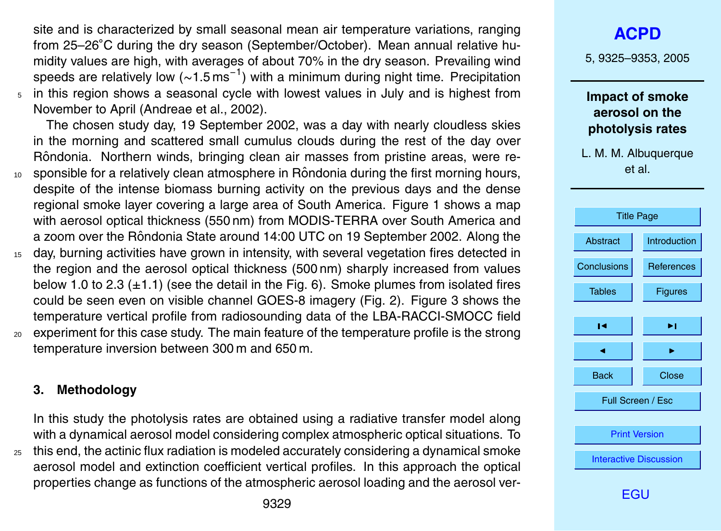site and is characterized by small seasonal mean air temperature variations, ranging from 25–26℃ during the dry season (September/October). Mean annual relative humidity values are high, with averages of about 70% in the dry season. Prevailing wind speeds are relatively low (~1.5 ms<sup>-1</sup>) with a minimum during night time. Precipitation <sup>5</sup> in this region shows a seasonal cycle with lowest values in July and is highest from November to April (Andreae et al., 2002).

The chosen study day, 19 September 2002, was a day with nearly cloudless skies in the morning and scattered small cumulus clouds during the rest of the day over Rôndonia. Northern winds, bringing clean air masses from pristine areas, were re-10 sponsible for a relatively clean atmosphere in Rôndonia during the first morning hours,

- despite of the intense biomass burning activity on the previous days and the dense regional smoke layer covering a large area of South America. Figure 1 shows a map with aerosol optical thickness (550 nm) from MODIS-TERRA over South America and a zoom over the Rôndonia State around 14:00 UTC on 19 September 2002. Along the
- <sup>15</sup> day, burning activities have grown in intensity, with several vegetation fires detected in the region and the aerosol optical thickness (500 nm) sharply increased from values below 1.0 to 2.3  $(\pm 1.1)$  (see the detail in the Fig. 6). Smoke plumes from isolated fires could be seen even on visible channel GOES-8 imagery (Fig. 2). Figure 3 shows the temperature vertical profile from radiosounding data of the LBA-RACCI-SMOCC field
- <sup>20</sup> experiment for this case study. The main feature of the temperature profile is the strong temperature inversion between 300 m and 650 m.

#### **3. Methodology**

In this study the photolysis rates are obtained using a radiative transfer model along with a dynamical aerosol model considering complex atmospheric optical situations. To

 $25$  this end, the actinic flux radiation is modeled accurately considering a dynamical smoke aerosol model and extinction coefficient vertical profiles. In this approach the optical properties change as functions of the atmospheric aerosol loading and the aerosol ver5, 9325–9353, 2005

**Impact of smoke aerosol on the photolysis rates**

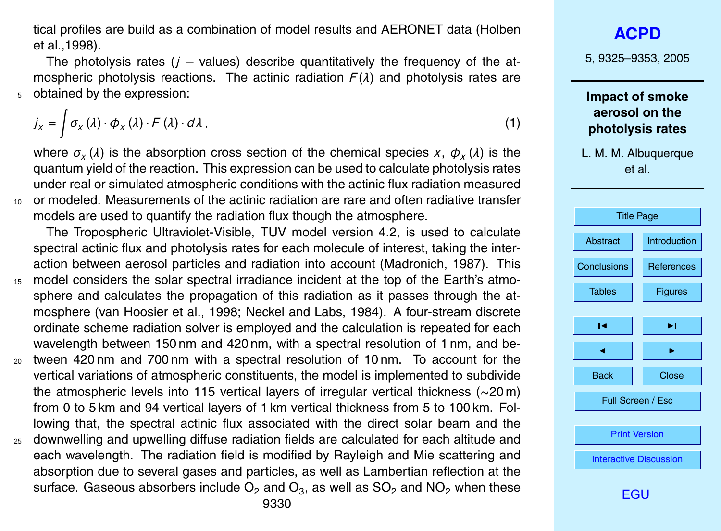tical profiles are build as a combination of model results and AERONET data (Holben et al.,1998).

The photolysis rates  $(j - value)$  describe quantitatively the frequency of the atmospheric photolysis reactions. The actinic radiation *F* (*λ*) and photolysis rates are <sup>5</sup> obtained by the expression:

$$
j_{x} = \int \sigma_{x}(\lambda) \cdot \phi_{x}(\lambda) \cdot F(\lambda) \cdot d\lambda \tag{1}
$$

where *σ<sup>x</sup>* (*λ*) is the absorption cross section of the chemical species *x*, *φ<sup>x</sup>* (*λ*) is the quantum yield of the reaction. This expression can be used to calculate photolysis rates under real or simulated atmospheric conditions with the actinic flux radiation measured <sup>10</sup> or modeled. Measurements of the actinic radiation are rare and often radiative transfer models are used to quantify the radiation flux though the atmosphere.

The Tropospheric Ultraviolet-Visible, TUV model version 4.2, is used to calculate spectral actinic flux and photolysis rates for each molecule of interest, taking the interaction between aerosol particles and radiation into account (Madronich, 1987). This

- <sup>15</sup> model considers the solar spectral irradiance incident at the top of the Earth's atmosphere and calculates the propagation of this radiation as it passes through the atmosphere (van Hoosier et al., 1998; Neckel and Labs, 1984). A four-stream discrete ordinate scheme radiation solver is employed and the calculation is repeated for each wavelength between 150 nm and 420 nm, with a spectral resolution of 1 nm, and be-
- <sup>20</sup> tween 420 nm and 700 nm with a spectral resolution of 10 nm. To account for the vertical variations of atmospheric constituents, the model is implemented to subdivide the atmospheric levels into 115 vertical layers of irregular vertical thickness (∼20 m) from 0 to 5 km and 94 vertical layers of 1 km vertical thickness from 5 to 100 km. Following that, the spectral actinic flux associated with the direct solar beam and the
- <sup>25</sup> downwelling and upwelling diffuse radiation fields are calculated for each altitude and each wavelength. The radiation field is modified by Rayleigh and Mie scattering and absorption due to several gases and particles, as well as Lambertian reflection at the surface. Gaseous absorbers include  ${\sf O}_2$  and  ${\sf O}_3$ , as well as  ${\sf SO}_2$  and  ${\sf NO}_2$  when these

5, 9325–9353, 2005

**Impact of smoke aerosol on the photolysis rates**

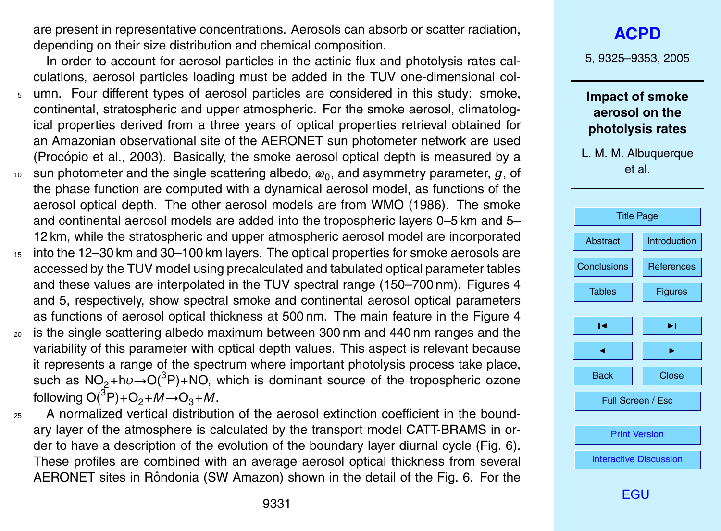are present in representative concentrations. Aerosols can absorb or scatter radiation, depending on their size distribution and chemical composition.

In order to account for aerosol particles in the actinic flux and photolysis rates calculations, aerosol particles loading must be added in the TUV one-dimensional col-

- <sup>5</sup> umn. Four different types of aerosol particles are considered in this study: smoke, continental, stratospheric and upper atmospheric. For the smoke aerosol, climatological properties derived from a three years of optical properties retrieval obtained for an Amazonian observational site of the AERONET sun photometer network are used (Procópio et al., 2003). Basically, the smoke aerosol optical depth is measured by a
- $_{10}$   $\,$  sun photometer and the single scattering albedo,  $\varpi_0$ , and asymmetry parameter,  $g$ , of the phase function are computed with a dynamical aerosol model, as functions of the aerosol optical depth. The other aerosol models are from WMO (1986). The smoke and continental aerosol models are added into the tropospheric layers 0–5 km and 5– 12 km, while the stratospheric and upper atmospheric aerosol model are incorporated
- <sup>15</sup> into the 12–30 km and 30–100 km layers. The optical properties for smoke aerosols are accessed by the TUV model using precalculated and tabulated optical parameter tables and these values are interpolated in the TUV spectral range (150–700 nm). Figures 4 and 5, respectively, show spectral smoke and continental aerosol optical parameters as functions of aerosol optical thickness at 500 nm. The main feature in the Figure 4
- <sup>20</sup> is the single scattering albedo maximum between 300 nm and 440 nm ranges and the variability of this parameter with optical depth values. This aspect is relevant because it represents a range of the spectrum where important photolysis process take place, such as NO<sub>2</sub>+h<sub>*U*→O(<sup>3</sup>P)+NO, which is dominant source of the tropospheric ozone</sub> following  $O(^3P)$ +O<sub>2</sub>+M→O<sub>3</sub>+M.
- <sub>25</sub> A normalized vertical distribution of the aerosol extinction coefficient in the boundary layer of the atmosphere is calculated by the transport model CATT-BRAMS in order to have a description of the evolution of the boundary layer diurnal cycle (Fig. 6). These profiles are combined with an average aerosol optical thickness from several AERONET sites in Rôndonia (SW Amazon) shown in the detail of the Fig. 6. For the

5, 9325–9353, 2005

#### **Impact of smoke aerosol on the photolysis rates**

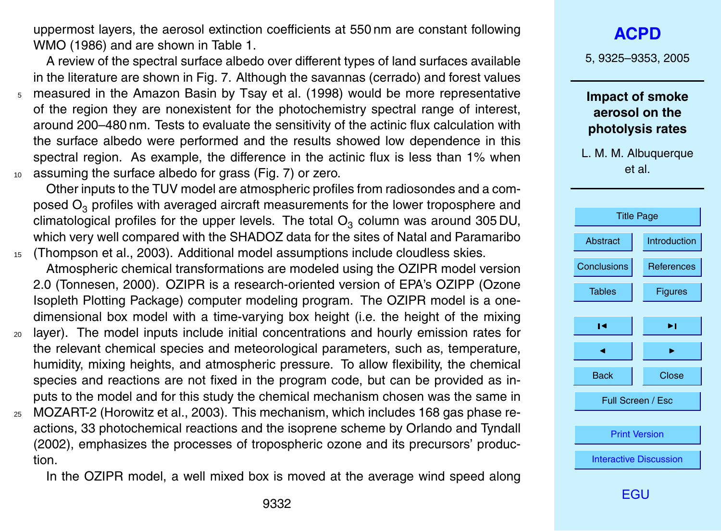uppermost layers, the aerosol extinction coefficients at 550 nm are constant following WMO (1986) and are shown in Table 1.

A review of the spectral surface albedo over different types of land surfaces available in the literature are shown in Fig. 7. Although the savannas (cerrado) and forest values <sup>5</sup> measured in the Amazon Basin by Tsay et al. (1998) would be more representative of the region they are nonexistent for the photochemistry spectral range of interest, around 200–480 nm. Tests to evaluate the sensitivity of the actinic flux calculation with the surface albedo were performed and the results showed low dependence in this spectral region. As example, the difference in the actinic flux is less than 1% when <sup>10</sup> assuming the surface albedo for grass (Fig. 7) or zero.

Other inputs to the TUV model are atmospheric profiles from radiosondes and a composed  $O<sub>3</sub>$  profiles with averaged aircraft measurements for the lower troposphere and climatological profiles for the upper levels. The total  $\mathsf{O}_3$  column was around 305 DU, which very well compared with the SHADOZ data for the sites of Natal and Paramaribo <sup>15</sup> (Thompson et al., 2003). Additional model assumptions include cloudless skies.

- Atmospheric chemical transformations are modeled using the OZIPR model version 2.0 (Tonnesen, 2000). OZIPR is a research-oriented version of EPA's OZIPP (Ozone Isopleth Plotting Package) computer modeling program. The OZIPR model is a onedimensional box model with a time-varying box height (i.e. the height of the mixing
- <sup>20</sup> layer). The model inputs include initial concentrations and hourly emission rates for the relevant chemical species and meteorological parameters, such as, temperature, humidity, mixing heights, and atmospheric pressure. To allow flexibility, the chemical species and reactions are not fixed in the program code, but can be provided as inputs to the model and for this study the chemical mechanism chosen was the same in
- <sup>25</sup> MOZART-2 (Horowitz et al., 2003). This mechanism, which includes 168 gas phase reactions, 33 photochemical reactions and the isoprene scheme by Orlando and Tyndall (2002), emphasizes the processes of tropospheric ozone and its precursors' production.

In the OZIPR model, a well mixed box is moved at the average wind speed along

## **[ACPD](http://www.atmos-chem-phys.org/acpd.htm)**

5, 9325–9353, 2005

**Impact of smoke aerosol on the photolysis rates**

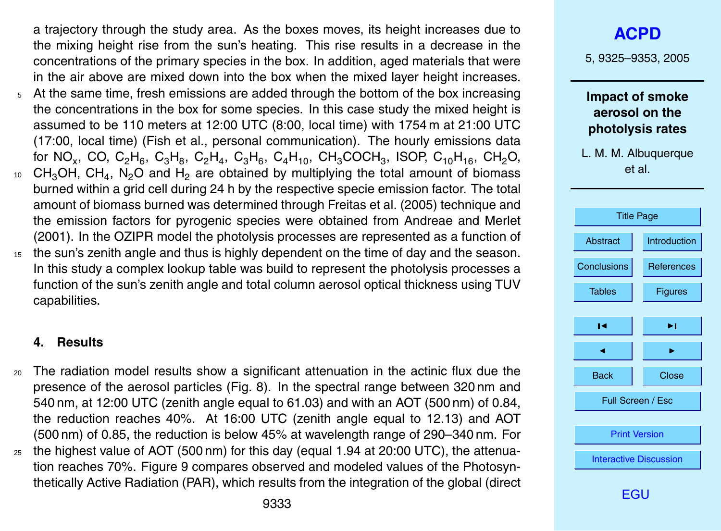a trajectory through the study area. As the boxes moves, its height increases due to the mixing height rise from the sun's heating. This rise results in a decrease in the concentrations of the primary species in the box. In addition, aged materials that were in the air above are mixed down into the box when the mixed layer height increases.

- <sup>5</sup> At the same time, fresh emissions are added through the bottom of the box increasing the concentrations in the box for some species. In this case study the mixed height is assumed to be 110 meters at 12:00 UTC (8:00, local time) with 1754 m at 21:00 UTC (17:00, local time) (Fish et al., personal communication). The hourly emissions data for NO<sub>x</sub>, CO, C<sub>2</sub>H<sub>6</sub>, C<sub>3</sub>H<sub>8</sub>, C<sub>2</sub>H<sub>4</sub>, C<sub>3</sub>H<sub>6</sub>, C<sub>4</sub>H<sub>10</sub>, CH<sub>3</sub>COCH<sub>3</sub>, ISOP, C<sub>10</sub>H<sub>16</sub>, CH<sub>2</sub>O,
- $10$  CH<sub>3</sub>OH, CH<sub>4</sub>, N<sub>2</sub>O and H<sub>2</sub> are obtained by multiplying the total amount of biomass burned within a grid cell during 24 h by the respective specie emission factor. The total amount of biomass burned was determined through Freitas et al. (2005) technique and the emission factors for pyrogenic species were obtained from Andreae and Merlet (2001). In the OZIPR model the photolysis processes are represented as a function of
- <sup>15</sup> the sun's zenith angle and thus is highly dependent on the time of day and the season. In this study a complex lookup table was build to represent the photolysis processes a function of the sun's zenith angle and total column aerosol optical thickness using TUV capabilities.

#### **4. Results**

- <sup>20</sup> The radiation model results show a significant attenuation in the actinic flux due the presence of the aerosol particles (Fig. 8). In the spectral range between 320 nm and 540 nm, at 12:00 UTC (zenith angle equal to 61.03) and with an AOT (500 nm) of 0.84, the reduction reaches 40%. At 16:00 UTC (zenith angle equal to 12.13) and AOT (500 nm) of 0.85, the reduction is below 45% at wavelength range of 290–340 nm. For
- $25$  the highest value of AOT (500 nm) for this day (equal 1.94 at 20:00 UTC), the attenuation reaches 70%. Figure 9 compares observed and modeled values of the Photosynthetically Active Radiation (PAR), which results from the integration of the global (direct

5, 9325–9353, 2005

**Impact of smoke aerosol on the photolysis rates**

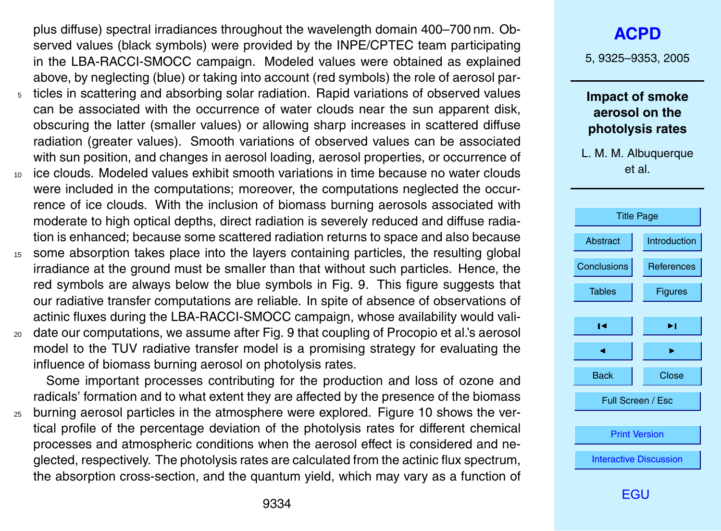plus diffuse) spectral irradiances throughout the wavelength domain 400–700 nm. Observed values (black symbols) were provided by the INPE/CPTEC team participating in the LBA-RACCI-SMOCC campaign. Modeled values were obtained as explained above, by neglecting (blue) or taking into account (red symbols) the role of aerosol particles in scattering and absorbing solar radiation. Rapid variations of observed values

- can be associated with the occurrence of water clouds near the sun apparent disk, obscuring the latter (smaller values) or allowing sharp increases in scattered diffuse radiation (greater values). Smooth variations of observed values can be associated with sun position, and changes in aerosol loading, aerosol properties, or occurrence of
- <sup>10</sup> ice clouds. Modeled values exhibit smooth variations in time because no water clouds were included in the computations; moreover, the computations neglected the occurrence of ice clouds. With the inclusion of biomass burning aerosols associated with moderate to high optical depths, direct radiation is severely reduced and diffuse radiation is enhanced; because some scattered radiation returns to space and also because
- <sup>15</sup> some absorption takes place into the layers containing particles, the resulting global irradiance at the ground must be smaller than that without such particles. Hence, the red symbols are always below the blue symbols in Fig. 9. This figure suggests that our radiative transfer computations are reliable. In spite of absence of observations of actinic fluxes during the LBA-RACCI-SMOCC campaign, whose availability would vali-
- <sup>20</sup> date our computations, we assume after Fig. 9 that coupling of Procopio et al.'s aerosol model to the TUV radiative transfer model is a promising strategy for evaluating the influence of biomass burning aerosol on photolysis rates.

Some important processes contributing for the production and loss of ozone and radicals' formation and to what extent they are affected by the presence of the biomass

<sup>25</sup> burning aerosol particles in the atmosphere were explored. Figure 10 shows the vertical profile of the percentage deviation of the photolysis rates for different chemical processes and atmospheric conditions when the aerosol effect is considered and neglected, respectively. The photolysis rates are calculated from the actinic flux spectrum, the absorption cross-section, and the quantum yield, which may vary as a function of

# **[ACPD](http://www.atmos-chem-phys.org/acpd.htm)**

5, 9325–9353, 2005

### **Impact of smoke aerosol on the photolysis rates**

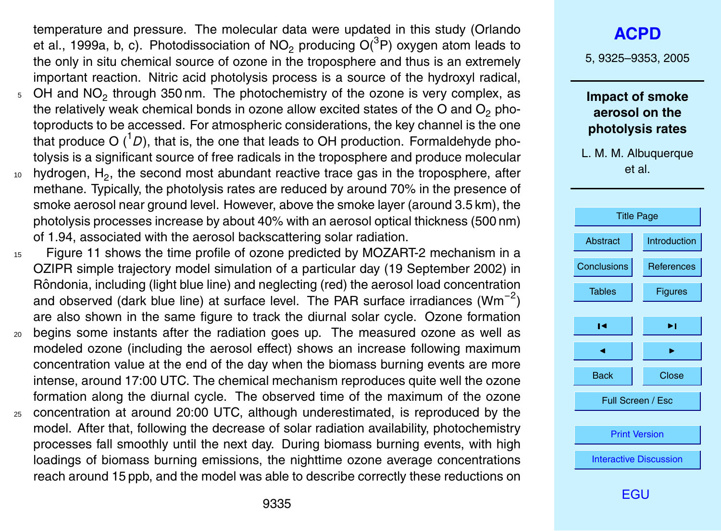temperature and pressure. The molecular data were updated in this study (Orlando et al., 1999a, b, c). Photodissociation of NO<sub>2</sub> producing  $O(^3P)$  oxygen atom leads to the only in situ chemical source of ozone in the troposphere and thus is an extremely important reaction. Nitric acid photolysis process is a source of the hydroxyl radical,

- $_5$  OH and NO<sub>2</sub> through 350 nm. The photochemistry of the ozone is very complex, as the relatively weak chemical bonds in ozone allow excited states of the O and  $O<sub>2</sub>$  photoproducts to be accessed. For atmospheric considerations, the key channel is the one that produce O  $({}^{1}D)$ , that is, the one that leads to OH production. Formaldehyde photolysis is a significant source of free radicals in the troposphere and produce molecular
- $10$  hydrogen,  $H_2$ , the second most abundant reactive trace gas in the troposphere, after methane. Typically, the photolysis rates are reduced by around 70% in the presence of smoke aerosol near ground level. However, above the smoke layer (around 3.5 km), the photolysis processes increase by about 40% with an aerosol optical thickness (500 nm) of 1.94, associated with the aerosol backscattering solar radiation.
- <sup>15</sup> Figure 11 shows the time profile of ozone predicted by MOZART-2 mechanism in a OZIPR simple trajectory model simulation of a particular day (19 September 2002) in Rôndonia, including (light blue line) and neglecting (red) the aerosol load concentration and observed (dark blue line) at surface level. The PAR surface irradiances (Wm<sup>-2</sup>) are also shown in the same figure to track the diurnal solar cycle. Ozone formation
- <sup>20</sup> begins some instants after the radiation goes up. The measured ozone as well as modeled ozone (including the aerosol effect) shows an increase following maximum concentration value at the end of the day when the biomass burning events are more intense, around 17:00 UTC. The chemical mechanism reproduces quite well the ozone formation along the diurnal cycle. The observed time of the maximum of the ozone
- <sup>25</sup> concentration at around 20:00 UTC, although underestimated, is reproduced by the model. After that, following the decrease of solar radiation availability, photochemistry processes fall smoothly until the next day. During biomass burning events, with high loadings of biomass burning emissions, the nighttime ozone average concentrations reach around 15 ppb, and the model was able to describe correctly these reductions on

5, 9325–9353, 2005

#### **Impact of smoke aerosol on the photolysis rates**

| <b>Title Page</b>             |                     |  |  |
|-------------------------------|---------------------|--|--|
| Abstract                      | <b>Introduction</b> |  |  |
| Conclusions                   | References          |  |  |
| <b>Tables</b>                 | <b>Figures</b>      |  |  |
| ĸ                             | ы                   |  |  |
|                               |                     |  |  |
|                               |                     |  |  |
| <b>Back</b>                   | Close               |  |  |
|                               | Full Screen / Esc   |  |  |
|                               |                     |  |  |
| <b>Print Version</b>          |                     |  |  |
| <b>Interactive Discussion</b> |                     |  |  |
|                               |                     |  |  |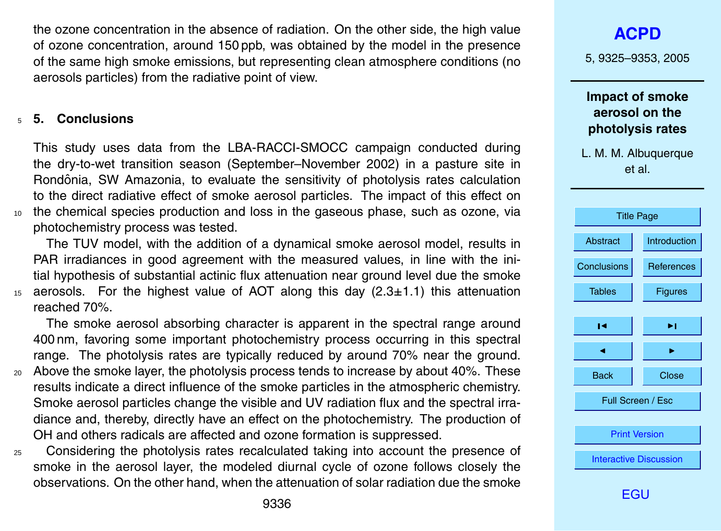<span id="page-11-0"></span>the ozone concentration in the absence of radiation. On the other side, the high value of ozone concentration, around 150 ppb, was obtained by the model in the presence of the same high smoke emissions, but representing clean atmosphere conditions (no aerosols particles) from the radiative point of view.

#### <sup>5</sup> **5. Conclusions**

This study uses data from the LBA-RACCI-SMOCC campaign conducted during the dry-to-wet transition season (September–November 2002) in a pasture site in Rondônia, SW Amazonia, to evaluate the sensitivity of photolysis rates calculation to the direct radiative effect of smoke aerosol particles. The impact of this effect on <sup>10</sup> the chemical species production and loss in the gaseous phase, such as ozone, via photochemistry process was tested.

The TUV model, with the addition of a dynamical smoke aerosol model, results in PAR irradiances in good agreement with the measured values, in line with the initial hypothesis of substantial actinic flux attenuation near ground level due the smoke  $15$  aerosols. For the highest value of AOT along this day  $(2.3\pm1.1)$  this attenuation reached 70%.

The smoke aerosol absorbing character is apparent in the spectral range around 400 nm, favoring some important photochemistry process occurring in this spectral range. The photolysis rates are typically reduced by around 70% near the ground.

- <sub>20</sub> Above the smoke layer, the photolysis process tends to increase by about 40%. These results indicate a direct influence of the smoke particles in the atmospheric chemistry. Smoke aerosol particles change the visible and UV radiation flux and the spectral irradiance and, thereby, directly have an effect on the photochemistry. The production of OH and others radicals are affected and ozone formation is suppressed.
- <sup>25</sup> Considering the photolysis rates recalculated taking into account the presence of smoke in the aerosol layer, the modeled diurnal cycle of ozone follows closely the observations. On the other hand, when the attenuation of solar radiation due the smoke

5, 9325–9353, 2005

**Impact of smoke aerosol on the photolysis rates**

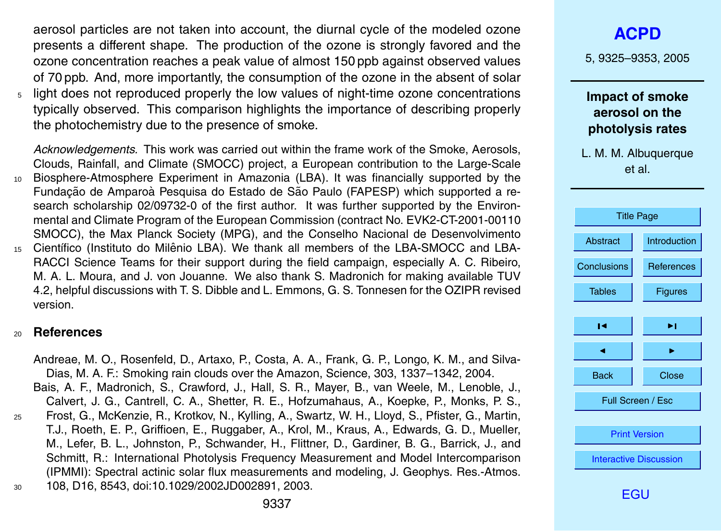<span id="page-12-0"></span>aerosol particles are not taken into account, the diurnal cycle of the modeled ozone presents a different shape. The production of the ozone is strongly favored and the ozone concentration reaches a peak value of almost 150 ppb against observed values of 70 ppb. And, more importantly, the consumption of the ozone in the absent of solar <sub>5</sub> light does not reproduced properly the low values of night-time ozone concentrations typically observed. This comparison highlights the importance of describing properly the photochemistry due to the presence of smoke.

*Acknowledgements.* This work was carried out within the frame work of the Smoke, Aerosols, Clouds, Rainfall, and Climate (SMOCC) project, a European contribution to the Large-Scale <sup>10</sup> Biosphere-Atmosphere Experiment in Amazonia (LBA). It was financially supported by the Fundação de Amparoà Pesquisa do Estado de São Paulo (FAPESP) which supported a research scholarship 02/09732-0 of the first author. It was further supported by the Environmental and Climate Program of the European Commission (contract No. EVK2-CT-2001-00110 SMOCC), the Max Planck Society (MPG), and the Conselho Nacional de Desenvolvimento 15 Científico (Instituto do Milênio LBA). We thank all members of the LBA-SMOCC and LBA-RACCI Science Teams for their support during the field campaign, especially A. C. Ribeiro, M. A. L. Moura, and J. von Jouanne. We also thank S. Madronich for making available TUV 4.2, helpful discussions with T. S. Dibble and L. Emmons, G. S. Tonnesen for the OZIPR revised

#### <sup>20</sup> **References**

version.

Andreae, M. O., Rosenfeld, D., Artaxo, P., Costa, A. A., Frank, G. P., Longo, K. M., and Silva-Dias, M. A. F.: Smoking rain clouds over the Amazon, Science, 303, 1337–1342, 2004. Bais, A. F., Madronich, S., Crawford, J., Hall, S. R., Mayer, B., van Weele, M., Lenoble, J., Calvert, J. G., Cantrell, C. A., Shetter, R. E., Hofzumahaus, A., Koepke, P., Monks, P. S., <sup>25</sup> Frost, G., McKenzie, R., Krotkov, N., Kylling, A., Swartz, W. H., Lloyd, S., Pfister, G., Martin, T.J., Roeth, E. P., Griffioen, E., Ruggaber, A., Krol, M., Kraus, A., Edwards, G. D., Mueller, M., Lefer, B. L., Johnston, P., Schwander, H., Flittner, D., Gardiner, B. G., Barrick, J., and Schmitt, R.: International Photolysis Frequency Measurement and Model Intercomparison (IPMMI): Spectral actinic solar flux measurements and modeling, J. Geophys. Res.-Atmos. <sup>30</sup> 108, D16, 8543, doi:10.1029/2002JD002891, 2003.

# **[ACPD](http://www.atmos-chem-phys.org/acpd.htm)**

5, 9325–9353, 2005

**Impact of smoke aerosol on the photolysis rates**

L. M. M. Albuquerque et al.



[EGU](http://www.copernicus.org/EGU/EGU.html)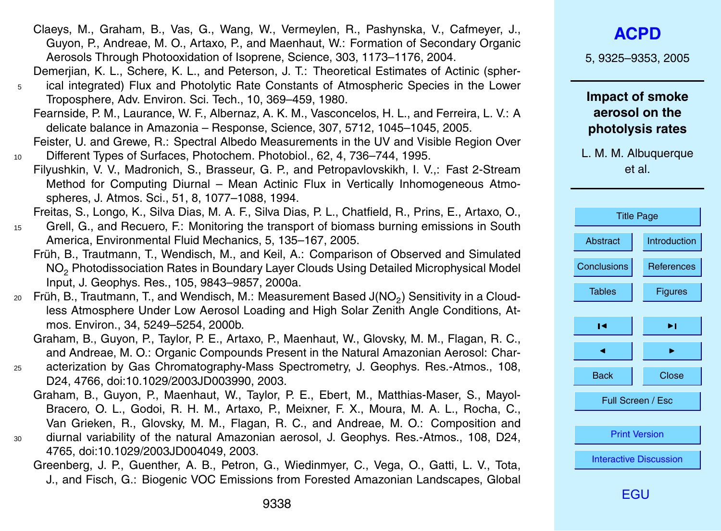- Claeys, M., Graham, B., Vas, G., Wang, W., Vermeylen, R., Pashynska, V., Cafmeyer, J., Guyon, P., Andreae, M. O., Artaxo, P., and Maenhaut, W.: Formation of Secondary Organic Aerosols Through Photooxidation of Isoprene, Science, 303, 1173–1176, 2004.
- Demerjian, K. L., Schere, K. L., and Peterson, J. T.: Theoretical Estimates of Actinic (spher-<sup>5</sup> ical integrated) Flux and Photolytic Rate Constants of Atmospheric Species in the Lower Troposphere, Adv. Environ. Sci. Tech., 10, 369–459, 1980.
	- Fearnside, P. M., Laurance, W. F., Albernaz, A. K. M., Vasconcelos, H. L., and Ferreira, L. V.: A delicate balance in Amazonia – Response, Science, 307, 5712, 1045–1045, 2005.
- Feister, U. and Grewe, R.: Spectral Albedo Measurements in the UV and Visible Region Over <sup>10</sup> Different Types of Surfaces, Photochem. Photobiol., 62, 4, 736–744, 1995.
- Filyushkin, V. V., Madronich, S., Brasseur, G. P., and Petropavlovskikh, I. V.,: Fast 2-Stream Method for Computing Diurnal – Mean Actinic Flux in Vertically Inhomogeneous Atmospheres, J. Atmos. Sci., 51, 8, 1077–1088, 1994.
	- Freitas, S., Longo, K., Silva Dias, M. A. F., Silva Dias, P. L., Chatfield, R., Prins, E., Artaxo, O.,
- <sup>15</sup> Grell, G., and Recuero, F.: Monitoring the transport of biomass burning emissions in South America, Environmental Fluid Mechanics, 5, 135–167, 2005.
	- Früh, B., Trautmann, T., Wendisch, M., and Keil, A.: Comparison of Observed and Simulated NO<sup>2</sup> Photodissociation Rates in Boundary Layer Clouds Using Detailed Microphysical Model Input, J. Geophys. Res., 105, 9843–9857, 2000a.
- $_{\rm 20}$   $\,$  Früh, B., Trautmann, T., and Wendisch, M.: Measurement Based J(NO $_{2})$  Sensitivity in a Cloudless Atmosphere Under Low Aerosol Loading and High Solar Zenith Angle Conditions, Atmos. Environ., 34, 5249–5254, 2000b.
	- Graham, B., Guyon, P., Taylor, P. E., Artaxo, P., Maenhaut, W., Glovsky, M. M., Flagan, R. C., and Andreae, M. O.: Organic Compounds Present in the Natural Amazonian Aerosol: Char-
- <sup>25</sup> acterization by Gas Chromatography-Mass Spectrometry, J. Geophys. Res.-Atmos., 108, D24, 4766, doi:10.1029/2003JD003990, 2003.
	- Graham, B., Guyon, P., Maenhaut, W., Taylor, P. E., Ebert, M., Matthias-Maser, S., Mayol-Bracero, O. L., Godoi, R. H. M., Artaxo, P., Meixner, F. X., Moura, M. A. L., Rocha, C., Van Grieken, R., Glovsky, M. M., Flagan, R. C., and Andreae, M. O.: Composition and
- <sup>30</sup> diurnal variability of the natural Amazonian aerosol, J. Geophys. Res.-Atmos., 108, D24, 4765, doi:10.1029/2003JD004049, 2003.
	- Greenberg, J. P., Guenther, A. B., Petron, G., Wiedinmyer, C., Vega, O., Gatti, L. V., Tota, J., and Fisch, G.: Biogenic VOC Emissions from Forested Amazonian Landscapes, Global

5, 9325–9353, 2005

#### **Impact of smoke aerosol on the photolysis rates**

| <b>Title Page</b> |                               |  |
|-------------------|-------------------------------|--|
| <b>Abstract</b>   | Introduction                  |  |
| Conclusions       | References                    |  |
| <b>Tables</b>     | <b>Figures</b>                |  |
| ĸ                 | ы                             |  |
|                   |                               |  |
|                   |                               |  |
|                   |                               |  |
| <b>Back</b>       | Close                         |  |
|                   | Full Screen / Esc             |  |
|                   |                               |  |
|                   | <b>Print Version</b>          |  |
|                   | <b>Interactive Discussion</b> |  |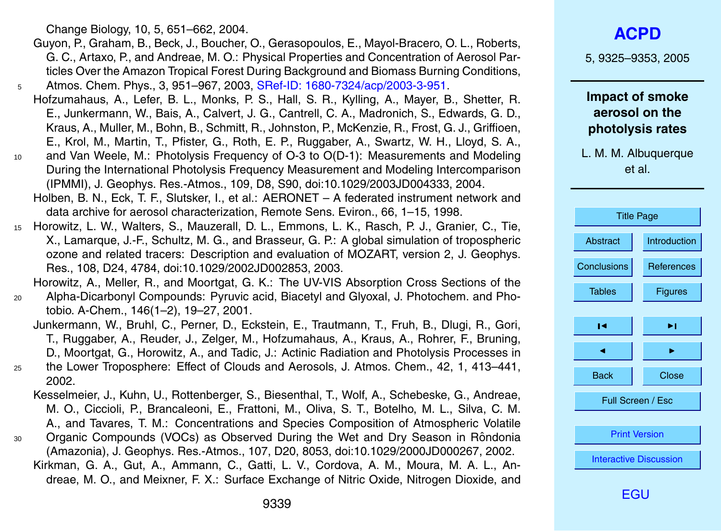Change Biology, 10, 5, 651–662, 2004.

- Guyon, P., Graham, B., Beck, J., Boucher, O., Gerasopoulos, E., Mayol-Bracero, O. L., Roberts, G. C., Artaxo, P., and Andreae, M. O.: Physical Properties and Concentration of Aerosol Particles Over the Amazon Tropical Forest During Background and Biomass Burning Conditions, <sup>5</sup> Atmos. Chem. Phys., 3, 951–967, 2003, [SRef-ID: 1680-7324/acp/2003-3-951.](http://direct.sref.org/1680-7324/acp/2003-3-951)
- Hofzumahaus, A., Lefer, B. L., Monks, P. S., Hall, S. R., Kylling, A., Mayer, B., Shetter, R. E., Junkermann, W., Bais, A., Calvert, J. G., Cantrell, C. A., Madronich, S., Edwards, G. D., Kraus, A., Muller, M., Bohn, B., Schmitt, R., Johnston, P., McKenzie, R., Frost, G. J., Griffioen, E., Krol, M., Martin, T., Pfister, G., Roth, E. P., Ruggaber, A., Swartz, W. H., Lloyd, S. A.,
- <sup>10</sup> and Van Weele, M.: Photolysis Frequency of O-3 to O(D-1): Measurements and Modeling During the International Photolysis Frequency Measurement and Modeling Intercomparison (IPMMI), J. Geophys. Res.-Atmos., 109, D8, S90, doi:10.1029/2003JD004333, 2004.
	- Holben, B. N., Eck, T. F., Slutsker, I., et al.: AERONET A federated instrument network and data archive for aerosol characterization, Remote Sens. Eviron., 66, 1–15, 1998.
- <sup>15</sup> Horowitz, L. W., Walters, S., Mauzerall, D. L., Emmons, L. K., Rasch, P. J., Granier, C., Tie, X., Lamarque, J.-F., Schultz, M. G., and Brasseur, G. P.: A global simulation of tropospheric ozone and related tracers: Description and evaluation of MOZART, version 2, J. Geophys. Res., 108, D24, 4784, doi:10.1029/2002JD002853, 2003.

Horowitz, A., Meller, R., and Moortgat, G. K.: The UV-VIS Absorption Cross Sections of the

- <sup>20</sup> Alpha-Dicarbonyl Compounds: Pyruvic acid, Biacetyl and Glyoxal, J. Photochem. and Photobio. A-Chem., 146(1–2), 19–27, 2001.
	- Junkermann, W., Bruhl, C., Perner, D., Eckstein, E., Trautmann, T., Fruh, B., Dlugi, R., Gori, T., Ruggaber, A., Reuder, J., Zelger, M., Hofzumahaus, A., Kraus, A., Rohrer, F., Bruning, D., Moortgat, G., Horowitz, A., and Tadic, J.: Actinic Radiation and Photolysis Processes in
- <sup>25</sup> the Lower Troposphere: Effect of Clouds and Aerosols, J. Atmos. Chem., 42, 1, 413–441, 2002.
	- Kesselmeier, J., Kuhn, U., Rottenberger, S., Biesenthal, T., Wolf, A., Schebeske, G., Andreae, M. O., Ciccioli, P., Brancaleoni, E., Frattoni, M., Oliva, S. T., Botelho, M. L., Silva, C. M. A., and Tavares, T. M.: Concentrations and Species Composition of Atmospheric Volatile
- 30 Organic Compounds (VOCs) as Observed During the Wet and Dry Season in Rôndonia (Amazonia), J. Geophys. Res.-Atmos., 107, D20, 8053, doi:10.1029/2000JD000267, 2002.
	- Kirkman, G. A., Gut, A., Ammann, C., Gatti, L. V., Cordova, A. M., Moura, M. A. L., Andreae, M. O., and Meixner, F. X.: Surface Exchange of Nitric Oxide, Nitrogen Dioxide, and

5, 9325–9353, 2005

**Impact of smoke aerosol on the photolysis rates**

| <b>Title Page</b>             |                     |  |  |
|-------------------------------|---------------------|--|--|
| Abstract                      | <b>Introduction</b> |  |  |
| Conclusions                   | References          |  |  |
| <b>Tables</b>                 | Figures             |  |  |
| ∣◀                            | ы                   |  |  |
|                               |                     |  |  |
|                               |                     |  |  |
| <b>Back</b>                   | Close               |  |  |
|                               | Full Screen / Esc   |  |  |
|                               |                     |  |  |
| <b>Print Version</b>          |                     |  |  |
| <b>Interactive Discussion</b> |                     |  |  |
|                               |                     |  |  |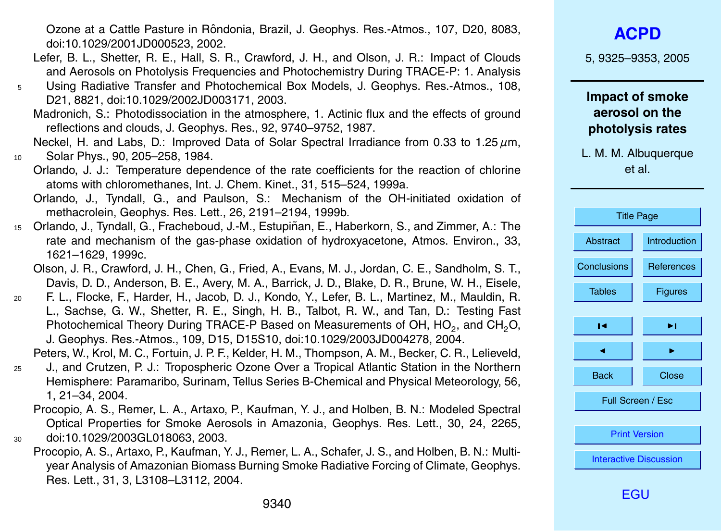Ozone at a Cattle Pasture in Rôndonia, Brazil, J. Geophys. Res.-Atmos., 107, D20, 8083, doi:10.1029/2001JD000523, 2002.

- Lefer, B. L., Shetter, R. E., Hall, S. R., Crawford, J. H., and Olson, J. R.: Impact of Clouds and Aerosols on Photolysis Frequencies and Photochemistry During TRACE-P: 1. Analysis
- <sup>5</sup> Using Radiative Transfer and Photochemical Box Models, J. Geophys. Res.-Atmos., 108, D21, 8821, doi:10.1029/2002JD003171, 2003.
	- Madronich, S.: Photodissociation in the atmosphere, 1. Actinic flux and the effects of ground reflections and clouds, J. Geophys. Res., 92, 9740–9752, 1987.
- Neckel, H. and Labs, D.: Improved Data of Solar Spectral Irradiance from 0.33 to 1.25 *µ*m, <sup>10</sup> Solar Phys., 90, 205–258, 1984.
	- Orlando, J. J.: Temperature dependence of the rate coefficients for the reaction of chlorine atoms with chloromethanes, Int. J. Chem. Kinet., 31, 515–524, 1999a.

Orlando, J., Tyndall, G., and Paulson, S.: Mechanism of the OH-initiated oxidation of methacrolein, Geophys. Res. Lett., 26, 2191–2194, 1999b.

- 15 Orlando, J., Tyndall, G., Fracheboud, J.-M., Estupiñan, E., Haberkorn, S., and Zimmer, A.: The rate and mechanism of the gas-phase oxidation of hydroxyacetone, Atmos. Environ., 33, 1621–1629, 1999c.
	- Olson, J. R., Crawford, J. H., Chen, G., Fried, A., Evans, M. J., Jordan, C. E., Sandholm, S. T., Davis, D. D., Anderson, B. E., Avery, M. A., Barrick, J. D., Blake, D. R., Brune, W. H., Eisele,
- <sup>20</sup> F. L., Flocke, F., Harder, H., Jacob, D. J., Kondo, Y., Lefer, B. L., Martinez, M., Mauldin, R. L., Sachse, G. W., Shetter, R. E., Singh, H. B., Talbot, R. W., and Tan, D.: Testing Fast Photochemical Theory During TRACE-P Based on Measurements of OH,  $HO_2$ , and CH<sub>2</sub>O, J. Geophys. Res.-Atmos., 109, D15, D15S10, doi:10.1029/2003JD004278, 2004.

Peters, W., Krol, M. C., Fortuin, J. P. F., Kelder, H. M., Thompson, A. M., Becker, C. R., Lelieveld,

- <sup>25</sup> J., and Crutzen, P. J.: Tropospheric Ozone Over a Tropical Atlantic Station in the Northern Hemisphere: Paramaribo, Surinam, Tellus Series B-Chemical and Physical Meteorology, 56, 1, 21–34, 2004.
- Procopio, A. S., Remer, L. A., Artaxo, P., Kaufman, Y. J., and Holben, B. N.: Modeled Spectral Optical Properties for Smoke Aerosols in Amazonia, Geophys. Res. Lett., 30, 24, 2265, <sup>30</sup> doi:10.1029/2003GL018063, 2003.
	- Procopio, A. S., Artaxo, P., Kaufman, Y. J., Remer, L. A., Schafer, J. S., and Holben, B. N.: Multiyear Analysis of Amazonian Biomass Burning Smoke Radiative Forcing of Climate, Geophys. Res. Lett., 31, 3, L3108–L3112, 2004.

5, 9325–9353, 2005

**Impact of smoke aerosol on the photolysis rates**

| <b>Title Page</b>             |                     |  |
|-------------------------------|---------------------|--|
| Abstract                      | <b>Introduction</b> |  |
| Conclusions                   | References          |  |
| <b>Tables</b>                 | <b>Figures</b>      |  |
| ы                             | ы                   |  |
|                               |                     |  |
|                               |                     |  |
| <b>Back</b>                   | Close               |  |
| Full Screen / Esc             |                     |  |
| <b>Print Version</b>          |                     |  |
| <b>Interactive Discussion</b> |                     |  |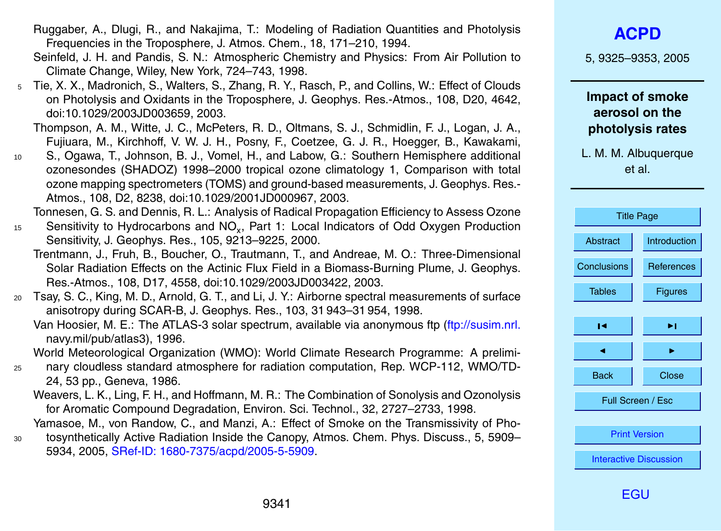- Ruggaber, A., Dlugi, R., and Nakajima, T.: Modeling of Radiation Quantities and Photolysis Frequencies in the Troposphere, J. Atmos. Chem., 18, 171–210, 1994.
- Seinfeld, J. H. and Pandis, S. N.: Atmospheric Chemistry and Physics: From Air Pollution to Climate Change, Wiley, New York, 724–743, 1998.
- <sup>5</sup> Tie, X. X., Madronich, S., Walters, S., Zhang, R. Y., Rasch, P., and Collins, W.: Effect of Clouds on Photolysis and Oxidants in the Troposphere, J. Geophys. Res.-Atmos., 108, D20, 4642, doi:10.1029/2003JD003659, 2003.
	- Thompson, A. M., Witte, J. C., McPeters, R. D., Oltmans, S. J., Schmidlin, F. J., Logan, J. A., Fujiuara, M., Kirchhoff, V. W. J. H., Posny, F., Coetzee, G. J. R., Hoegger, B., Kawakami,
- <sup>10</sup> S., Ogawa, T., Johnson, B. J., Vomel, H., and Labow, G.: Southern Hemisphere additional ozonesondes (SHADOZ) 1998–2000 tropical ozone climatology 1, Comparison with total ozone mapping spectrometers (TOMS) and ground-based measurements, J. Geophys. Res.- Atmos., 108, D2, 8238, doi:10.1029/2001JD000967, 2003.

Tonnesen, G. S. and Dennis, R. L.: Analysis of Radical Propagation Efficiency to Assess Ozone  $15$  Sensitivity to Hydrocarbons and NO<sub>x</sub>, Part 1: Local Indicators of Odd Oxygen Production Sensitivity, J. Geophys. Res., 105, 9213–9225, 2000.

- Trentmann, J., Fruh, B., Boucher, O., Trautmann, T., and Andreae, M. O.: Three-Dimensional Solar Radiation Effects on the Actinic Flux Field in a Biomass-Burning Plume, J. Geophys. Res.-Atmos., 108, D17, 4558, doi:10.1029/2003JD003422, 2003.
- <sup>20</sup> Tsay, S. C., King, M. D., Arnold, G. T., and Li, J. Y.: Airborne spectral measurements of surface anisotropy during SCAR-B, J. Geophys. Res., 103, 31 943–31 954, 1998.
	- [V](ftp://susim.nrl.navy.mil/pub/atlas3)an Hoosier, M. E.: The ATLAS-3 solar spectrum, available via anonymous ftp [\(ftp://susim.nrl.](ftp://susim.nrl.navy.mil/pub/atlas3) [navy.mil/pub/atlas3\)](ftp://susim.nrl.navy.mil/pub/atlas3), 1996.

World Meteorological Organization (WMO): World Climate Research Programme: A prelimi-

- <sup>25</sup> nary cloudless standard atmosphere for radiation computation, Rep. WCP-112, WMO/TD-24, 53 pp., Geneva, 1986.
	- Weavers, L. K., Ling, F. H., and Hoffmann, M. R.: The Combination of Sonolysis and Ozonolysis for Aromatic Compound Degradation, Environ. Sci. Technol., 32, 2727–2733, 1998.
- Yamasoe, M., von Randow, C., and Manzi, A.: Effect of Smoke on the Transmissivity of Pho-<sup>30</sup> tosynthetically Active Radiation Inside the Canopy, Atmos. Chem. Phys. Discuss., 5, 5909–
	- 5934, 2005, [SRef-ID: 1680-7375/acpd/2005-5-5909.](http://direct.sref.org/1680-7375/acpd/2005-5-5909)

## **[ACPD](http://www.atmos-chem-phys.org/acpd.htm)**

5, 9325–9353, 2005

### **Impact of smoke aerosol on the photolysis rates**

L. M. M. Albuquerque et al.

| <b>Title Page</b>             |                   |  |
|-------------------------------|-------------------|--|
| Abstract                      | Introduction      |  |
| Conclusions                   | <b>References</b> |  |
| <b>Tables</b>                 | Figures           |  |
|                               |                   |  |
| ы                             | ы                 |  |
|                               |                   |  |
| <b>Back</b>                   | Close             |  |
| Full Screen / Esc             |                   |  |
|                               |                   |  |
| <b>Print Version</b>          |                   |  |
| <b>Interactive Discussion</b> |                   |  |
|                               |                   |  |

[EGU](http://www.copernicus.org/EGU/EGU.html)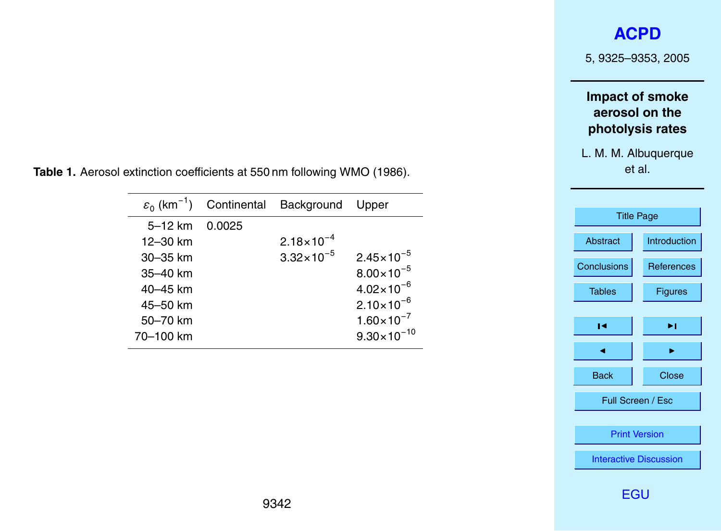5, 9325–9353, 2005

## **Impact of smoke aerosol on the photolysis rates**

L. M. M. Albuquerque et al.

| <b>Title Page</b>             |              |  |
|-------------------------------|--------------|--|
| Abstract                      | Introduction |  |
| Conclusions                   | References   |  |
| <b>Tables</b>                 | Figures      |  |
|                               |              |  |
| ıе                            | ы            |  |
|                               |              |  |
| <b>Back</b>                   | Close        |  |
| Full Screen / Esc             |              |  |
|                               |              |  |
| <b>Print Version</b>          |              |  |
| <b>Interactive Discussion</b> |              |  |
|                               |              |  |

<span id="page-17-0"></span>**Table 1.** Aerosol extinction coefficients at 550 nm following WMO (1986).

| $\varepsilon_0$ (km <sup>-1</sup> ) | Continental | Background Upper      |                        |
|-------------------------------------|-------------|-----------------------|------------------------|
| 5–12 km                             | 0.0025      |                       |                        |
| 12-30 km                            |             | $2.18 \times 10^{-4}$ |                        |
| $30 - 35$ km                        |             | $3.32 \times 10^{-5}$ | $2.45 \times 10^{-5}$  |
| 35-40 km                            |             |                       | $8.00 \times 10^{-5}$  |
| 40–45 km                            |             |                       | $4.02 \times 10^{-6}$  |
| 45–50 km                            |             |                       | $2.10 \times 10^{-6}$  |
| 50-70 km                            |             |                       | $1.60 \times 10^{-7}$  |
| 70-100 km                           |             |                       | $9.30 \times 10^{-10}$ |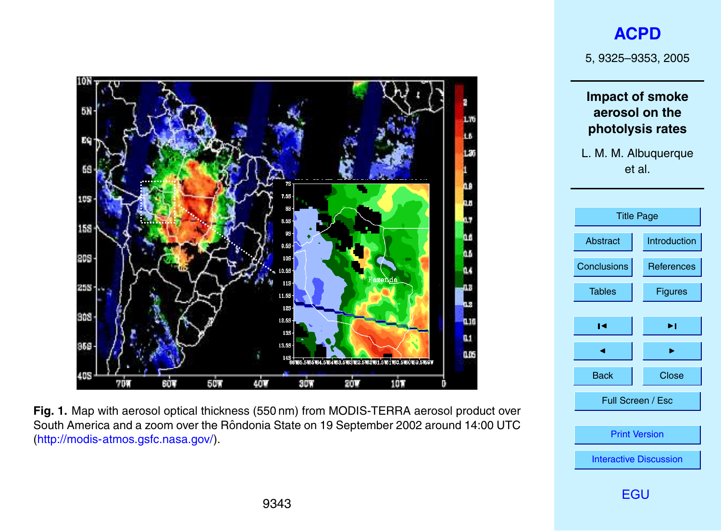<span id="page-18-0"></span>

**Fig. 1.** Map with aerosol optical thickness (550 nm) from MODIS-TERRA aerosol product over South America and a zoom over the Rôndonia State on 19 September 2002 around 14:00 UTC [\(http://modis-atmos.gsfc.nasa.gov/\)](http://modis-atmos.gsfc.nasa.gov/).

5, 9325–9353, 2005

**Impact of smoke aerosol on the photolysis rates**

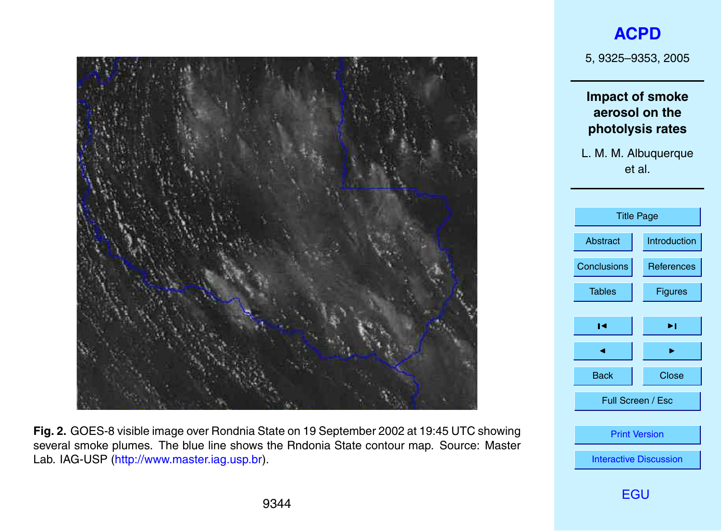

**Fig. 2.** GOES-8 visible image over Rondnia State on 19 September 2002 at 19:45 UTC showing several smoke plumes. The blue line shows the Rndonia State contour map. Source: Master Lab. IAG-USP [\(http://www.master.iag.usp.br\)](http://www.master.iag.usp.br).

# **[ACPD](http://www.atmos-chem-phys.org/acpd.htm)**

5, 9325–9353, 2005

**Impact of smoke aerosol on the photolysis rates**

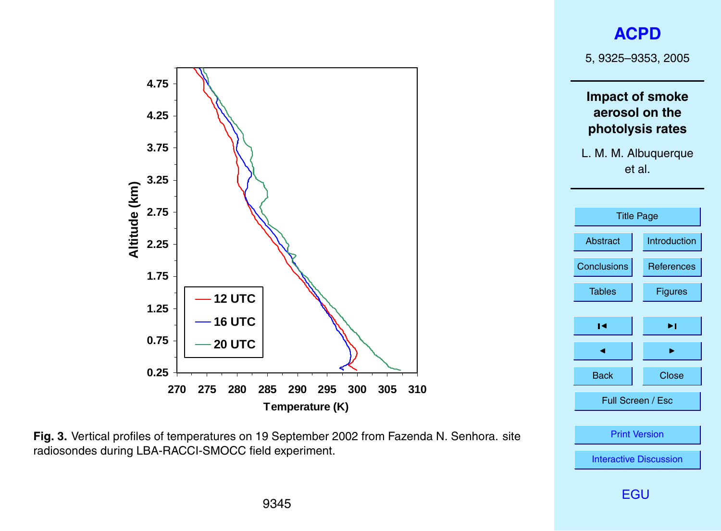

**Fig. 3.** Vertical profiles of temperatures on 19 September 2002 from Fazenda N. Senhora. site radiosondes during LBA-RACCI-SMOCC field experiment.

[Interactive Discussion](http://www.atmos-chem-phys.org/acpd/5/9325/comments.php)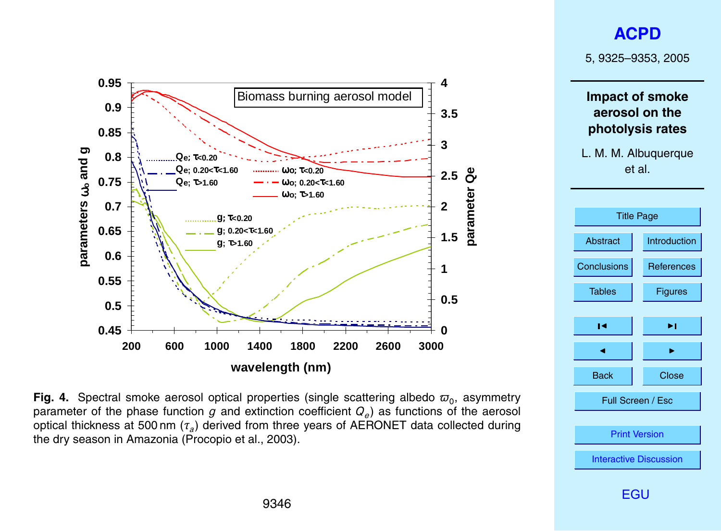5, 9325–9353, 2005



**Impact of smoke aerosol on the photolysis rates**

L. M. M. Albuquerque et al.



Fig. 4. Spectral smoke aerosol optical properties (single scattering albedo  $\varpi_0$ , asymmetry parameter of the phase function *g* and extinction coefficient *Q<sup>e</sup>* ) as functions of the aerosol optical thickness at 500 nm (*τ<sup>a</sup>* ) derived from three years of AERONET data collected during the dry season in Amazonia (Procopio et al., 2003).

[EGU](http://www.copernicus.org/EGU/EGU.html)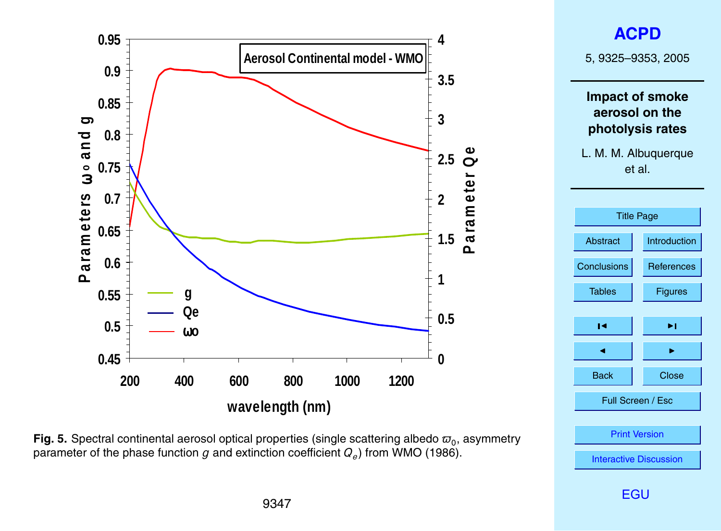



5, 9325–9353, 2005

## **Impact of smoke aerosol on the photolysis rates**

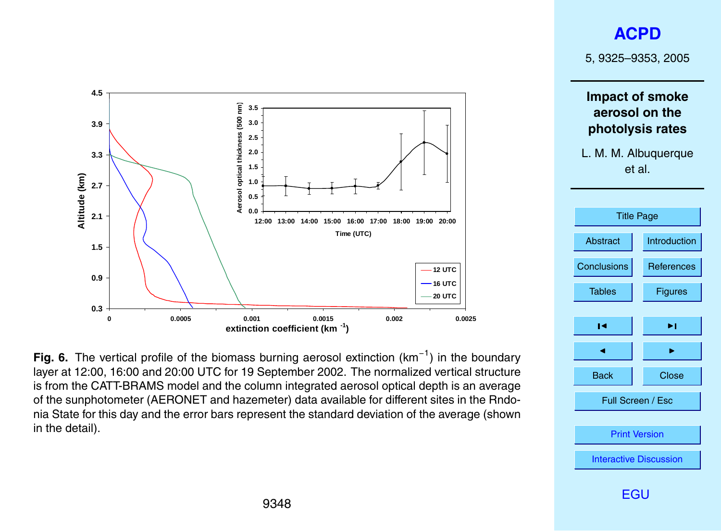5, 9325–9353, 2005

**Impact of smoke aerosol on the photolysis rates**

L. M. M. Albuquerque et al.





**Fig. 6.** The vertical profile of the biomass burning aerosol extinction (km<sup>-1</sup>) in the boundary layer at 12:00, 16:00 and 20:00 UTC for 19 September 2002. The normalized vertical structure is from the CATT-BRAMS model and the column integrated aerosol optical depth is an average of the sunphotometer (AERONET and hazemeter) data available for different sites in the Rndonia State for this day and the error bars represent the standard deviation of the average (shown in the detail).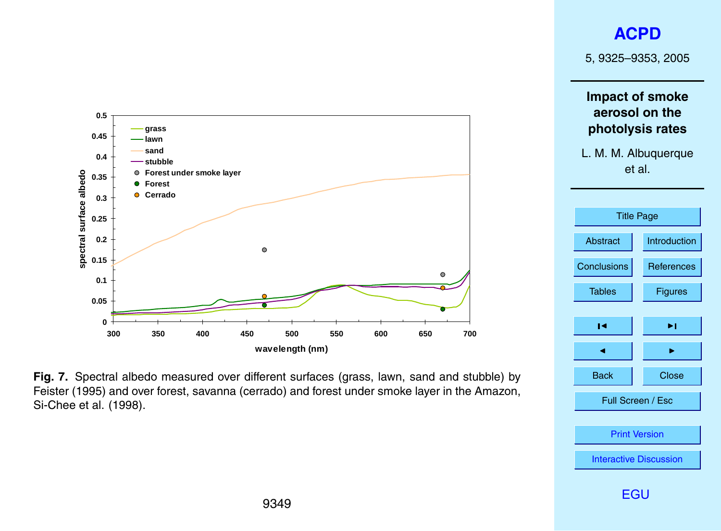5, 9325–9353, 2005

**Impact of smoke aerosol on the photolysis rates**





**0.5 grass 0.45 lawn sand 0.4 stubble Forest under smoke layer** spectral surface albedo **spectral surface albedo 0.35 Forest**  $\bullet$ **Cerrado 0.3 0.25 0.2**  $\bullet$ **0.15**  $\bullet$ **0.1 0.05 0 300 350 400 450 500 550 600 650 700 wavelength (nm)**

**Fig. 7.** Spectral albedo measured over different surfaces (grass, lawn, sand and stubble) by Feister (1995) and over forest, savanna (cerrado) and forest under smoke layer in the Amazon, Si-Chee et al. (1998).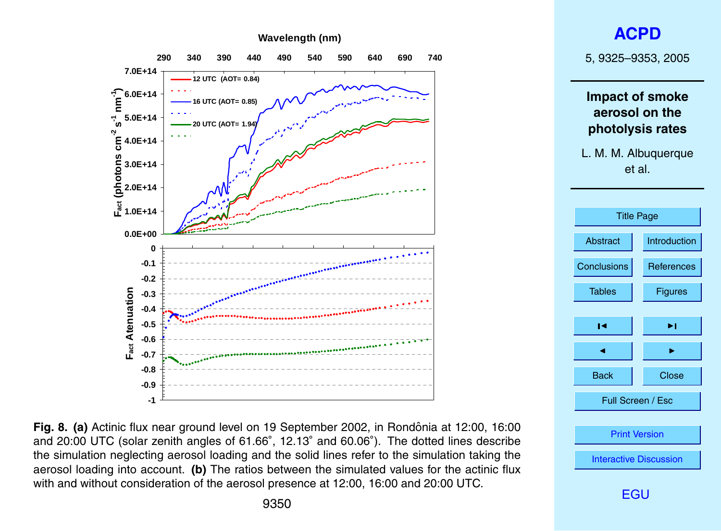



**Fig. 8. (a)** Actinic flux near ground level on 19 September 2002, in Rondonia at 12:00, 16:00 ˆ and 20:00 UTC (solar zenith angles of 61.66◦ , 12.13◦ and 60.06◦ ). The dotted lines describe the simulation neglecting aerosol loading and the solid lines refer to the simulation taking the aerosol loading into account. **(b)** The ratios between the simulated values for the actinic flux with and without consideration of the aerosol presence at 12:00, 16:00 and 20:00 UTC.

[EGU](http://www.copernicus.org/EGU/EGU.html)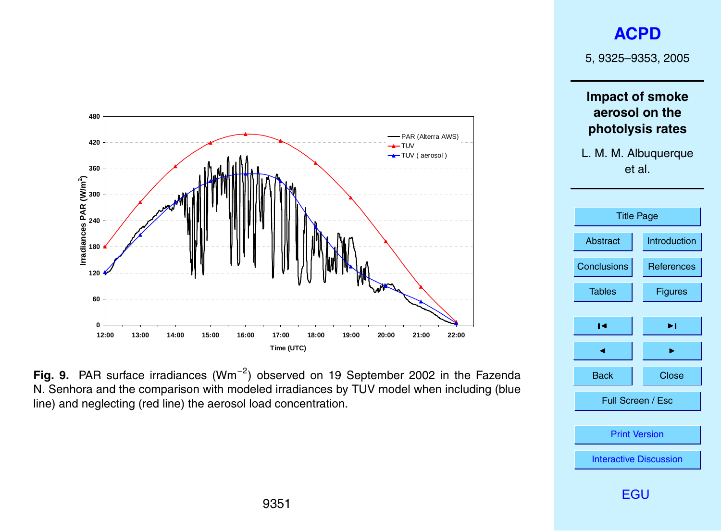5, 9325–9353, 2005

## **Impact of smoke aerosol on the photolysis rates**





**0 60 120 180 240 300 360 420 480 12:00 13:00 14:00 15:00 16:00 17:00 18:00 19:00 20:00 21:00 22:00 Time (UTC) Irradiances PAR (W/m 2 )** -PAR (Alterra AWS)  $+$ TUV TUV ( aerosol )

Fig. 9. PAR surface irradiances (Wm<sup>-2</sup>) observed on 19 September 2002 in the Fazenda N. Senhora and the comparison with modeled irradiances by TUV model when including (blue line) and neglecting (red line) the aerosol load concentration.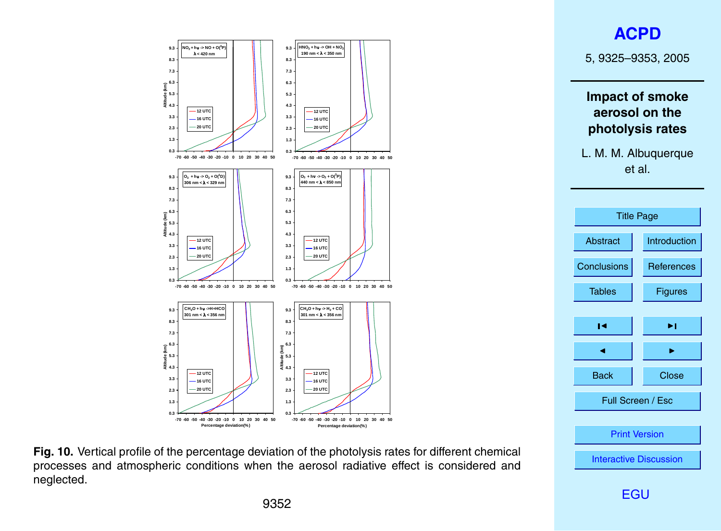

5, 9325–9353, 2005

**Impact of smoke aerosol on the photolysis rates**

L. M. M. Albuquerque et al.



**Fig. 10.** Vertical profile of the percentage deviation of the photolysis rates for different chemical processes and atmospheric conditions when the aerosol radiative effect is considered and neglected.